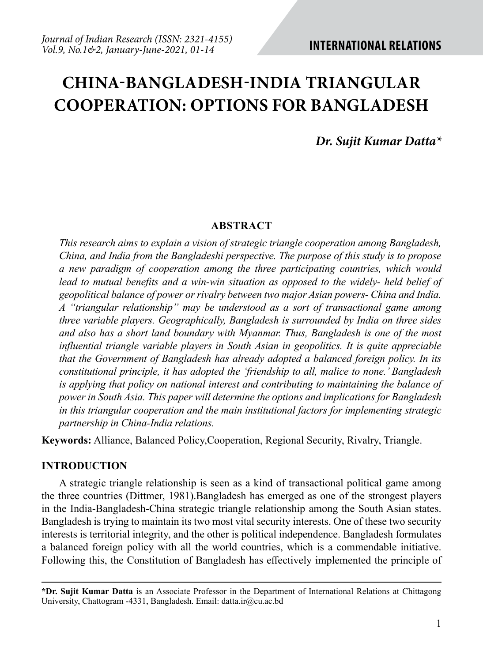# **CHINA-BANGLADESH-INDIA TRIANGULAR COOPERATION: OPTIONS FOR BANGLADESH**

*Dr. Sujit Kumar Datta\**

#### **ABSTRACT**

*This research aims to explain a vision of strategic triangle cooperation among Bangladesh, China, and India from the Bangladeshi perspective. The purpose of this study is to propose a new paradigm of cooperation among the three participating countries, which would lead to mutual benefits and a win-win situation as opposed to the widely- held belief of geopolitical balance of power or rivalry between two major Asian powers- China and India. A "triangular relationship" may be understood as a sort of transactional game among three variable players. Geographically, Bangladesh is surrounded by India on three sides and also has a short land boundary with Myanmar. Thus, Bangladesh is one of the most influential triangle variable players in South Asian in geopolitics. It is quite appreciable that the Government of Bangladesh has already adopted a balanced foreign policy. In its constitutional principle, it has adopted the 'friendship to all, malice to none.' Bangladesh is applying that policy on national interest and contributing to maintaining the balance of power in South Asia. This paper will determine the options and implications for Bangladesh in this triangular cooperation and the main institutional factors for implementing strategic partnership in China-India relations.*

**Keywords:** Alliance, Balanced Policy,Cooperation, Regional Security, Rivalry, Triangle.

### **INTRODUCTION**

A strategic triangle relationship is seen as a kind of transactional political game among the three countries (Dittmer, 1981).Bangladesh has emerged as one of the strongest players in the India-Bangladesh-China strategic triangle relationship among the South Asian states. Bangladesh is trying to maintain its two most vital security interests. One of these two security interests is territorial integrity, and the other is political independence. Bangladesh formulates a balanced foreign policy with all the world countries, which is a commendable initiative. Following this, the Constitution of Bangladesh has effectively implemented the principle of

**\*Dr. Sujit Kumar Datta** is an Associate Professor in the Department of International Relations at Chittagong University, Chattogram -4331, Bangladesh. Email: datta.ir@cu.ac.bd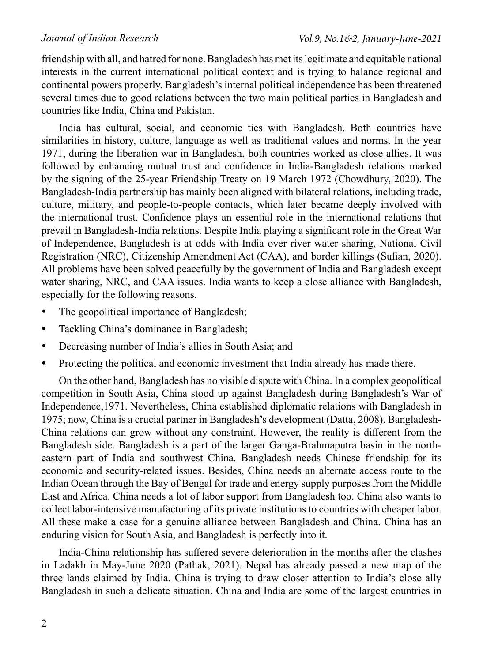friendship with all, and hatred for none. Bangladesh has met its legitimate and equitable national interests in the current international political context and is trying to balance regional and continental powers properly. Bangladesh's internal political independence has been threatened several times due to good relations between the two main political parties in Bangladesh and countries like India, China and Pakistan.

India has cultural, social, and economic ties with Bangladesh. Both countries have similarities in history, culture, language as well as traditional values and norms. In the year 1971, during the liberation war in Bangladesh, both countries worked as close allies. It was followed by enhancing mutual trust and confidence in India-Bangladesh relations marked by the signing of the 25-year Friendship Treaty on 19 March 1972 (Chowdhury, 2020). The Bangladesh-India partnership has mainly been aligned with bilateral relations, including trade, culture, military, and people-to-people contacts, which later became deeply involved with the international trust. Confidence plays an essential role in the international relations that prevail in Bangladesh-India relations. Despite India playing a significant role in the Great War of Independence, Bangladesh is at odds with India over river water sharing, National Civil Registration (NRC), Citizenship Amendment Act (CAA), and border killings (Sufian, 2020). All problems have been solved peacefully by the government of India and Bangladesh except water sharing, NRC, and CAA issues. India wants to keep a close alliance with Bangladesh, especially for the following reasons.

- The geopolitical importance of Bangladesh;
- Tackling China's dominance in Bangladesh;
- Decreasing number of India's allies in South Asia; and
- Protecting the political and economic investment that India already has made there.

On the other hand, Bangladesh has no visible dispute with China. In a complex geopolitical competition in South Asia, China stood up against Bangladesh during Bangladesh's War of Independence,1971. Nevertheless, China established diplomatic relations with Bangladesh in 1975; now, China is a crucial partner in Bangladesh's development (Datta, 2008). Bangladesh-China relations can grow without any constraint. However, the reality is different from the Bangladesh side. Bangladesh is a part of the larger Ganga-Brahmaputra basin in the northeastern part of India and southwest China. Bangladesh needs Chinese friendship for its economic and security-related issues. Besides, China needs an alternate access route to the Indian Ocean through the Bay of Bengal for trade and energy supply purposes from the Middle East and Africa. China needs a lot of labor support from Bangladesh too. China also wants to collect labor-intensive manufacturing of its private institutions to countries with cheaper labor. All these make a case for a genuine alliance between Bangladesh and China. China has an enduring vision for South Asia, and Bangladesh is perfectly into it.

India-China relationship has suffered severe deterioration in the months after the clashes in Ladakh in May-June 2020 (Pathak, 2021). Nepal has already passed a new map of the three lands claimed by India. China is trying to draw closer attention to India's close ally Bangladesh in such a delicate situation. China and India are some of the largest countries in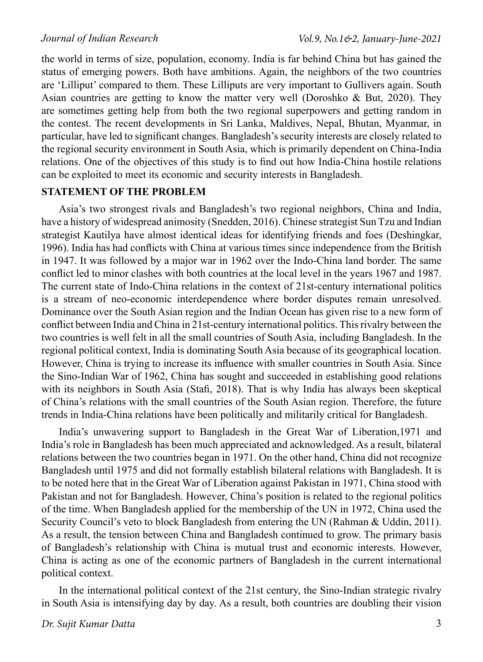the world in terms of size, population, economy. India is far behind China but has gained the status of emerging powers. Both have ambitions. Again, the neighbors of the two countries are 'Lilliput' compared to them. These Lilliputs are very important to Gullivers again. South Asian countries are getting to know the matter very well (Doroshko & But, 2020). They are sometimes getting help from both the two regional superpowers and getting random in the contest. The recent developments in Sri Lanka, Maldives, Nepal, Bhutan, Myanmar, in particular, have led to significant changes. Bangladesh's security interests are closely related to the regional security environment in South Asia, which is primarily dependent on China-India relations. One of the objectives of this study is to find out how India-China hostile relations can be exploited to meet its economic and security interests in Bangladesh.

## **STATEMENT OF THE PROBLEM**

Asia's two strongest rivals and Bangladesh's two regional neighbors, China and India, have a history of widespread animosity (Snedden, 2016). Chinese strategist Sun Tzu and Indian strategist Kautilya have almost identical ideas for identifying friends and foes (Deshingkar, 1996). India has had conflicts with China at various times since independence from the British in 1947. It was followed by a major war in 1962 over the Indo-China land border. The same conflict led to minor clashes with both countries at the local level in the years 1967 and 1987. The current state of Indo-China relations in the context of 21st-century international politics is a stream of neo-economic interdependence where border disputes remain unresolved. Dominance over the South Asian region and the Indian Ocean has given rise to a new form of conflict between India and China in 21st-century international politics. This rivalry between the two countries is well felt in all the small countries of South Asia, including Bangladesh. In the regional political context, India is dominating South Asia because of its geographical location. However, China is trying to increase its influence with smaller countries in South Asia. Since the Sino-Indian War of 1962, China has sought and succeeded in establishing good relations with its neighbors in South Asia (Stafi, 2018). That is why India has always been skeptical of China's relations with the small countries of the South Asian region. Therefore, the future trends in India-China relations have been politically and militarily critical for Bangladesh.

India's unwavering support to Bangladesh in the Great War of Liberation,1971 and India's role in Bangladesh has been much appreciated and acknowledged. As a result, bilateral relations between the two countries began in 1971. On the other hand, China did not recognize Bangladesh until 1975 and did not formally establish bilateral relations with Bangladesh. It is to be noted here that in the Great War of Liberation against Pakistan in 1971, China stood with Pakistan and not for Bangladesh. However, China's position is related to the regional politics of the time. When Bangladesh applied for the membership of the UN in 1972, China used the Security Council's veto to block Bangladesh from entering the UN (Rahman & Uddin, 2011). As a result, the tension between China and Bangladesh continued to grow. The primary basis of Bangladesh's relationship with China is mutual trust and economic interests. However, China is acting as one of the economic partners of Bangladesh in the current international political context.

In the international political context of the 21st century, the Sino-Indian strategic rivalry in South Asia is intensifying day by day. As a result, both countries are doubling their vision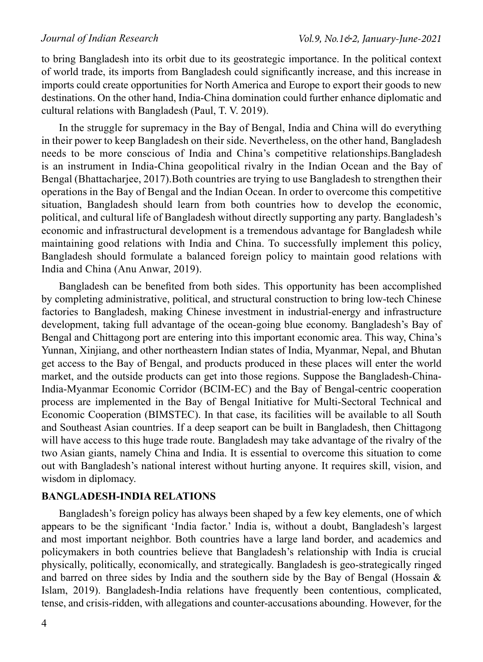to bring Bangladesh into its orbit due to its geostrategic importance. In the political context of world trade, its imports from Bangladesh could significantly increase, and this increase in imports could create opportunities for North America and Europe to export their goods to new destinations. On the other hand, India-China domination could further enhance diplomatic and cultural relations with Bangladesh (Paul, T. V. 2019).

In the struggle for supremacy in the Bay of Bengal, India and China will do everything in their power to keep Bangladesh on their side. Nevertheless, on the other hand, Bangladesh needs to be more conscious of India and China's competitive relationships.Bangladesh is an instrument in India-China geopolitical rivalry in the Indian Ocean and the Bay of Bengal (Bhattacharjee, 2017).Both countries are trying to use Bangladesh to strengthen their operations in the Bay of Bengal and the Indian Ocean. In order to overcome this competitive situation, Bangladesh should learn from both countries how to develop the economic, political, and cultural life of Bangladesh without directly supporting any party. Bangladesh's economic and infrastructural development is a tremendous advantage for Bangladesh while maintaining good relations with India and China. To successfully implement this policy, Bangladesh should formulate a balanced foreign policy to maintain good relations with India and China (Anu Anwar, 2019).

Bangladesh can be benefited from both sides. This opportunity has been accomplished by completing administrative, political, and structural construction to bring low-tech Chinese factories to Bangladesh, making Chinese investment in industrial-energy and infrastructure development, taking full advantage of the ocean-going blue economy. Bangladesh's Bay of Bengal and Chittagong port are entering into this important economic area. This way, China's Yunnan, Xinjiang, and other northeastern Indian states of India, Myanmar, Nepal, and Bhutan get access to the Bay of Bengal, and products produced in these places will enter the world market, and the outside products can get into those regions. Suppose the Bangladesh-China-India-Myanmar Economic Corridor (BCIM-EC) and the Bay of Bengal-centric cooperation process are implemented in the Bay of Bengal Initiative for Multi-Sectoral Technical and Economic Cooperation (BIMSTEC). In that case, its facilities will be available to all South and Southeast Asian countries. If a deep seaport can be built in Bangladesh, then Chittagong will have access to this huge trade route. Bangladesh may take advantage of the rivalry of the two Asian giants, namely China and India. It is essential to overcome this situation to come out with Bangladesh's national interest without hurting anyone. It requires skill, vision, and wisdom in diplomacy.

### **BANGLADESH-INDIA RELATIONS**

Bangladesh's foreign policy has always been shaped by a few key elements, one of which appears to be the significant 'India factor.' India is, without a doubt, Bangladesh's largest and most important neighbor. Both countries have a large land border, and academics and policymakers in both countries believe that Bangladesh's relationship with India is crucial physically, politically, economically, and strategically. Bangladesh is geo-strategically ringed and barred on three sides by India and the southern side by the Bay of Bengal (Hossain  $\&$ Islam, 2019). Bangladesh-India relations have frequently been contentious, complicated, tense, and crisis-ridden, with allegations and counter-accusations abounding. However, for the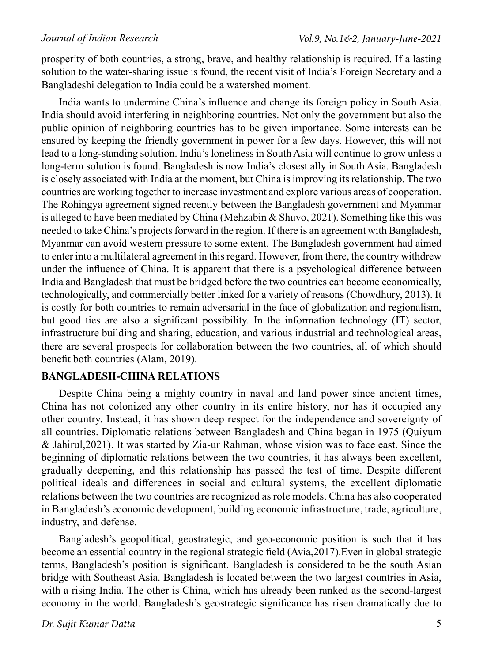prosperity of both countries, a strong, brave, and healthy relationship is required. If a lasting solution to the water-sharing issue is found, the recent visit of India's Foreign Secretary and a Bangladeshi delegation to India could be a watershed moment.

India wants to undermine China's influence and change its foreign policy in South Asia. India should avoid interfering in neighboring countries. Not only the government but also the public opinion of neighboring countries has to be given importance. Some interests can be ensured by keeping the friendly government in power for a few days. However, this will not lead to a long-standing solution. India's loneliness in South Asia will continue to grow unless a long-term solution is found. Bangladesh is now India's closest ally in South Asia. Bangladesh is closely associated with India at the moment, but China is improving its relationship. The two countries are working together to increase investment and explore various areas of cooperation. The Rohingya agreement signed recently between the Bangladesh government and Myanmar is alleged to have been mediated by China (Mehzabin & Shuvo, 2021). Something like this was needed to take China's projects forward in the region. If there is an agreement with Bangladesh, Myanmar can avoid western pressure to some extent. The Bangladesh government had aimed to enter into a multilateral agreement in this regard. However, from there, the country withdrew under the influence of China. It is apparent that there is a psychological difference between India and Bangladesh that must be bridged before the two countries can become economically, technologically, and commercially better linked for a variety of reasons (Chowdhury, 2013). It is costly for both countries to remain adversarial in the face of globalization and regionalism, but good ties are also a significant possibility. In the information technology (IT) sector, infrastructure building and sharing, education, and various industrial and technological areas, there are several prospects for collaboration between the two countries, all of which should benefit both countries (Alam, 2019).

## **BANGLADESH-CHINA RELATIONS**

Despite China being a mighty country in naval and land power since ancient times, China has not colonized any other country in its entire history, nor has it occupied any other country. Instead, it has shown deep respect for the independence and sovereignty of all countries. Diplomatic relations between Bangladesh and China began in 1975 (Quiyum & Jahirul,2021). It was started by Zia-ur Rahman, whose vision was to face east. Since the beginning of diplomatic relations between the two countries, it has always been excellent, gradually deepening, and this relationship has passed the test of time. Despite different political ideals and differences in social and cultural systems, the excellent diplomatic relations between the two countries are recognized as role models. China has also cooperated in Bangladesh's economic development, building economic infrastructure, trade, agriculture, industry, and defense.

Bangladesh's geopolitical, geostrategic, and geo-economic position is such that it has become an essential country in the regional strategic field (Avia,2017).Even in global strategic terms, Bangladesh's position is significant. Bangladesh is considered to be the south Asian bridge with Southeast Asia. Bangladesh is located between the two largest countries in Asia, with a rising India. The other is China, which has already been ranked as the second-largest economy in the world. Bangladesh's geostrategic significance has risen dramatically due to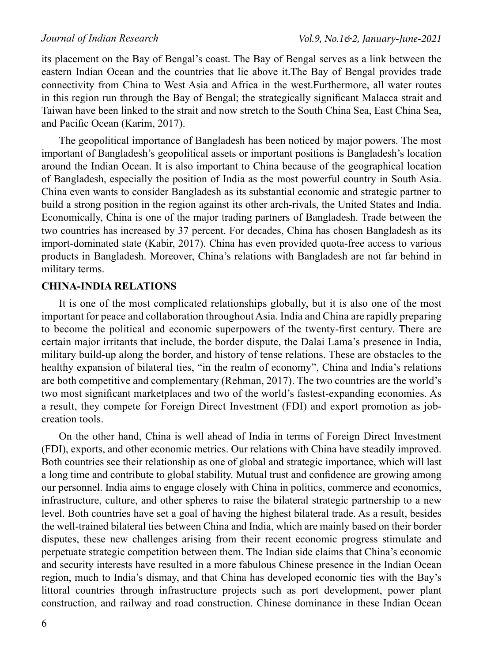its placement on the Bay of Bengal's coast. The Bay of Bengal serves as a link between the eastern Indian Ocean and the countries that lie above it.The Bay of Bengal provides trade connectivity from China to West Asia and Africa in the west.Furthermore, all water routes in this region run through the Bay of Bengal; the strategically significant Malacca strait and Taiwan have been linked to the strait and now stretch to the South China Sea, East China Sea, and Pacific Ocean (Karim, 2017).

The geopolitical importance of Bangladesh has been noticed by major powers. The most important of Bangladesh's geopolitical assets or important positions is Bangladesh's location around the Indian Ocean. It is also important to China because of the geographical location of Bangladesh, especially the position of India as the most powerful country in South Asia. China even wants to consider Bangladesh as its substantial economic and strategic partner to build a strong position in the region against its other arch-rivals, the United States and India. Economically, China is one of the major trading partners of Bangladesh. Trade between the two countries has increased by 37 percent. For decades, China has chosen Bangladesh as its import-dominated state (Kabir, 2017). China has even provided quota-free access to various products in Bangladesh. Moreover, China's relations with Bangladesh are not far behind in military terms.

## **CHINA-INDIA RELATIONS**

It is one of the most complicated relationships globally, but it is also one of the most important for peace and collaboration throughout Asia. India and China are rapidly preparing to become the political and economic superpowers of the twenty-first century. There are certain major irritants that include, the border dispute, the Dalai Lama's presence in India, military build-up along the border, and history of tense relations. These are obstacles to the healthy expansion of bilateral ties, "in the realm of economy", China and India's relations are both competitive and complementary (Rehman, 2017). The two countries are the world's two most significant marketplaces and two of the world's fastest-expanding economies. As a result, they compete for Foreign Direct Investment (FDI) and export promotion as jobcreation tools.

On the other hand, China is well ahead of India in terms of Foreign Direct Investment (FDI), exports, and other economic metrics. Our relations with China have steadily improved. Both countries see their relationship as one of global and strategic importance, which will last a long time and contribute to global stability. Mutual trust and confidence are growing among our personnel. India aims to engage closely with China in politics, commerce and economics, infrastructure, culture, and other spheres to raise the bilateral strategic partnership to a new level. Both countries have set a goal of having the highest bilateral trade. As a result, besides the well-trained bilateral ties between China and India, which are mainly based on their border disputes, these new challenges arising from their recent economic progress stimulate and perpetuate strategic competition between them. The Indian side claims that China's economic and security interests have resulted in a more fabulous Chinese presence in the Indian Ocean region, much to India's dismay, and that China has developed economic ties with the Bay's littoral countries through infrastructure projects such as port development, power plant construction, and railway and road construction. Chinese dominance in these Indian Ocean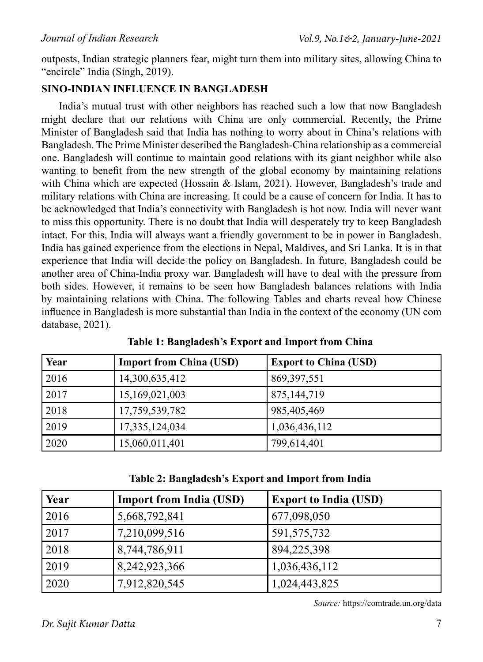outposts, Indian strategic planners fear, might turn them into military sites, allowing China to "encircle" India (Singh, 2019).

## **SINO-INDIAN INFLUENCE IN BANGLADESH**

India's mutual trust with other neighbors has reached such a low that now Bangladesh might declare that our relations with China are only commercial. Recently, the Prime Minister of Bangladesh said that India has nothing to worry about in China's relations with Bangladesh. The Prime Minister described the Bangladesh-China relationship as a commercial one. Bangladesh will continue to maintain good relations with its giant neighbor while also wanting to benefit from the new strength of the global economy by maintaining relations with China which are expected (Hossain & Islam, 2021). However, Bangladesh's trade and military relations with China are increasing. It could be a cause of concern for India. It has to be acknowledged that India's connectivity with Bangladesh is hot now. India will never want to miss this opportunity. There is no doubt that India will desperately try to keep Bangladesh intact. For this, India will always want a friendly government to be in power in Bangladesh. India has gained experience from the elections in Nepal, Maldives, and Sri Lanka. It is in that experience that India will decide the policy on Bangladesh. In future, Bangladesh could be another area of China-India proxy war. Bangladesh will have to deal with the pressure from both sides. However, it remains to be seen how Bangladesh balances relations with India by maintaining relations with China. The following Tables and charts reveal how Chinese influence in Bangladesh is more substantial than India in the context of the economy (UN com database, 2021).

| Year | <b>Import from China (USD)</b> | <b>Export to China (USD)</b> |
|------|--------------------------------|------------------------------|
| 2016 | 14,300,635,412                 | 869, 397, 551                |
| 2017 | 15,169,021,003                 | 875, 144, 719                |
| 2018 | 17,759,539,782                 | 985,405,469                  |
| 2019 | 17,335,124,034                 | 1,036,436,112                |
| 2020 | 15,060,011,401                 | 799,614,401                  |

**Table 1: Bangladesh's Export and Import from China**

| Table 2: Bangladesh's Export and Import from India |  |  |  |
|----------------------------------------------------|--|--|--|
|                                                    |  |  |  |

| Year | <b>Import from India (USD)</b> | <b>Export to India (USD)</b> |
|------|--------------------------------|------------------------------|
| 2016 | 5,668,792,841                  | 677,098,050                  |
| 2017 | 7,210,099,516                  | 591, 575, 732                |
| 2018 | 8,744,786,911                  | 894,225,398                  |
| 2019 | 8,242,923,366                  | 1,036,436,112                |
| 2020 | 7,912,820,545                  | 1,024,443,825                |

*Source:* https://comtrade.un.org/data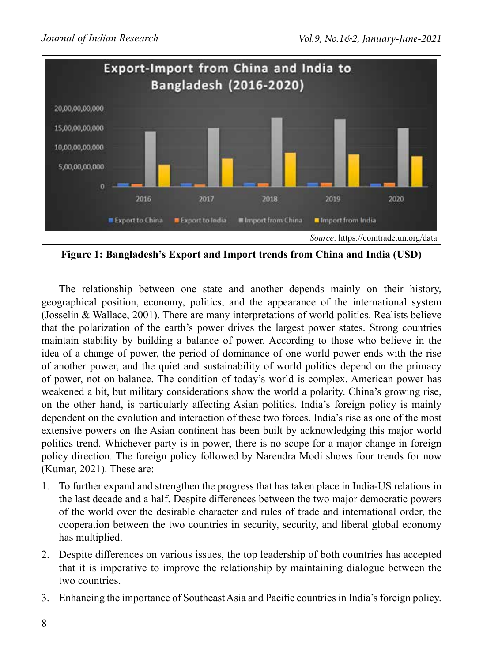

**Figure 1: Bangladesh's Export and Import trends from China and India (USD)**

The relationship between one state and another depends mainly on their history, geographical position, economy, politics, and the appearance of the international system (Josselin & Wallace, 2001). There are many interpretations of world politics. Realists believe that the polarization of the earth's power drives the largest power states. Strong countries maintain stability by building a balance of power. According to those who believe in the idea of a change of power, the period of dominance of one world power ends with the rise of another power, and the quiet and sustainability of world politics depend on the primacy of power, not on balance. The condition of today's world is complex. American power has weakened a bit, but military considerations show the world a polarity. China's growing rise, on the other hand, is particularly affecting Asian politics. India's foreign policy is mainly dependent on the evolution and interaction of these two forces. India's rise as one of the most extensive powers on the Asian continent has been built by acknowledging this major world politics trend. Whichever party is in power, there is no scope for a major change in foreign policy direction. The foreign policy followed by Narendra Modi shows four trends for now (Kumar, 2021). These are:

- 1. To further expand and strengthen the progress that has taken place in India-US relations in the last decade and a half. Despite differences between the two major democratic powers of the world over the desirable character and rules of trade and international order, the cooperation between the two countries in security, security, and liberal global economy has multiplied.
- 2. Despite differences on various issues, the top leadership of both countries has accepted that it is imperative to improve the relationship by maintaining dialogue between the two countries.
- 3. Enhancing the importance of Southeast Asia and Pacific countries in India's foreign policy.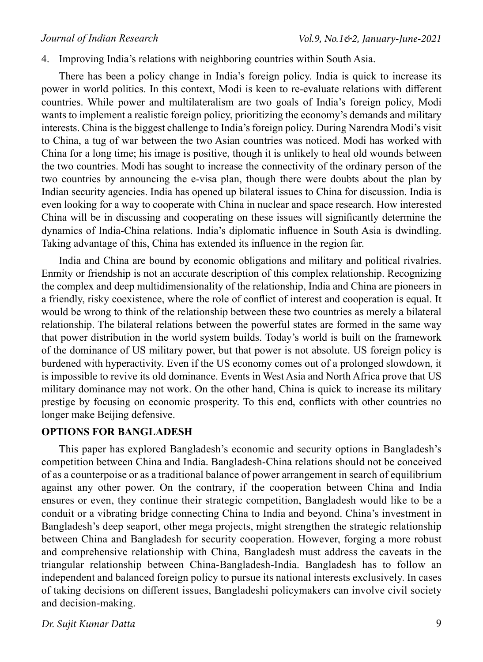4. Improving India's relations with neighboring countries within South Asia.

There has been a policy change in India's foreign policy. India is quick to increase its power in world politics. In this context, Modi is keen to re-evaluate relations with different countries. While power and multilateralism are two goals of India's foreign policy, Modi wants to implement a realistic foreign policy, prioritizing the economy's demands and military interests. China is the biggest challenge to India's foreign policy. During Narendra Modi's visit to China, a tug of war between the two Asian countries was noticed. Modi has worked with China for a long time; his image is positive, though it is unlikely to heal old wounds between the two countries. Modi has sought to increase the connectivity of the ordinary person of the two countries by announcing the e-visa plan, though there were doubts about the plan by Indian security agencies. India has opened up bilateral issues to China for discussion. India is even looking for a way to cooperate with China in nuclear and space research. How interested China will be in discussing and cooperating on these issues will significantly determine the dynamics of India-China relations. India's diplomatic influence in South Asia is dwindling. Taking advantage of this, China has extended its influence in the region far.

India and China are bound by economic obligations and military and political rivalries. Enmity or friendship is not an accurate description of this complex relationship. Recognizing the complex and deep multidimensionality of the relationship, India and China are pioneers in a friendly, risky coexistence, where the role of conflict of interest and cooperation is equal. It would be wrong to think of the relationship between these two countries as merely a bilateral relationship. The bilateral relations between the powerful states are formed in the same way that power distribution in the world system builds. Today's world is built on the framework of the dominance of US military power, but that power is not absolute. US foreign policy is burdened with hyperactivity. Even if the US economy comes out of a prolonged slowdown, it is impossible to revive its old dominance. Events in West Asia and North Africa prove that US military dominance may not work. On the other hand, China is quick to increase its military prestige by focusing on economic prosperity. To this end, conflicts with other countries no longer make Beijing defensive.

## **OPTIONS FOR BANGLADESH**

This paper has explored Bangladesh's economic and security options in Bangladesh's competition between China and India. Bangladesh-China relations should not be conceived of as a counterpoise or as a traditional balance of power arrangement in search of equilibrium against any other power. On the contrary, if the cooperation between China and India ensures or even, they continue their strategic competition, Bangladesh would like to be a conduit or a vibrating bridge connecting China to India and beyond. China's investment in Bangladesh's deep seaport, other mega projects, might strengthen the strategic relationship between China and Bangladesh for security cooperation. However, forging a more robust and comprehensive relationship with China, Bangladesh must address the caveats in the triangular relationship between China-Bangladesh-India. Bangladesh has to follow an independent and balanced foreign policy to pursue its national interests exclusively. In cases of taking decisions on different issues, Bangladeshi policymakers can involve civil society and decision-making.

#### *Dr. Sujit Kumar Datta*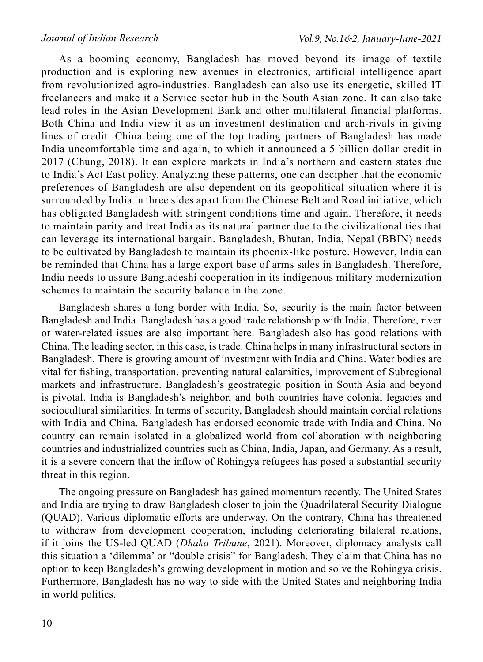As a booming economy, Bangladesh has moved beyond its image of textile production and is exploring new avenues in electronics, artificial intelligence apart from revolutionized agro-industries. Bangladesh can also use its energetic, skilled IT freelancers and make it a Service sector hub in the South Asian zone. It can also take lead roles in the Asian Development Bank and other multilateral financial platforms. Both China and India view it as an investment destination and arch-rivals in giving lines of credit. China being one of the top trading partners of Bangladesh has made India uncomfortable time and again, to which it announced a 5 billion dollar credit in 2017 (Chung, 2018). It can explore markets in India's northern and eastern states due to India's Act East policy. Analyzing these patterns, one can decipher that the economic preferences of Bangladesh are also dependent on its geopolitical situation where it is surrounded by India in three sides apart from the Chinese Belt and Road initiative, which has obligated Bangladesh with stringent conditions time and again. Therefore, it needs to maintain parity and treat India as its natural partner due to the civilizational ties that can leverage its international bargain. Bangladesh, Bhutan, India, Nepal (BBIN) needs to be cultivated by Bangladesh to maintain its phoenix-like posture. However, India can be reminded that China has a large export base of arms sales in Bangladesh. Therefore, India needs to assure Bangladeshi cooperation in its indigenous military modernization schemes to maintain the security balance in the zone.

Bangladesh shares a long border with India. So, security is the main factor between Bangladesh and India. Bangladesh has a good trade relationship with India. Therefore, river or water-related issues are also important here. Bangladesh also has good relations with China. The leading sector, in this case, is trade. China helps in many infrastructural sectors in Bangladesh. There is growing amount of investment with India and China. Water bodies are vital for fishing, transportation, preventing natural calamities, improvement of Subregional markets and infrastructure. Bangladesh's geostrategic position in South Asia and beyond is pivotal. India is Bangladesh's neighbor, and both countries have colonial legacies and sociocultural similarities. In terms of security, Bangladesh should maintain cordial relations with India and China. Bangladesh has endorsed economic trade with India and China. No country can remain isolated in a globalized world from collaboration with neighboring countries and industrialized countries such as China, India, Japan, and Germany. As a result, it is a severe concern that the inflow of Rohingya refugees has posed a substantial security threat in this region.

The ongoing pressure on Bangladesh has gained momentum recently. The United States and India are trying to draw Bangladesh closer to join the Quadrilateral Security Dialogue (QUAD). Various diplomatic efforts are underway. On the contrary, China has threatened to withdraw from development cooperation, including deteriorating bilateral relations, if it joins the US-led QUAD (*Dhaka Tribune*, 2021). Moreover, diplomacy analysts call this situation a 'dilemma' or "double crisis" for Bangladesh. They claim that China has no option to keep Bangladesh's growing development in motion and solve the Rohingya crisis. Furthermore, Bangladesh has no way to side with the United States and neighboring India in world politics.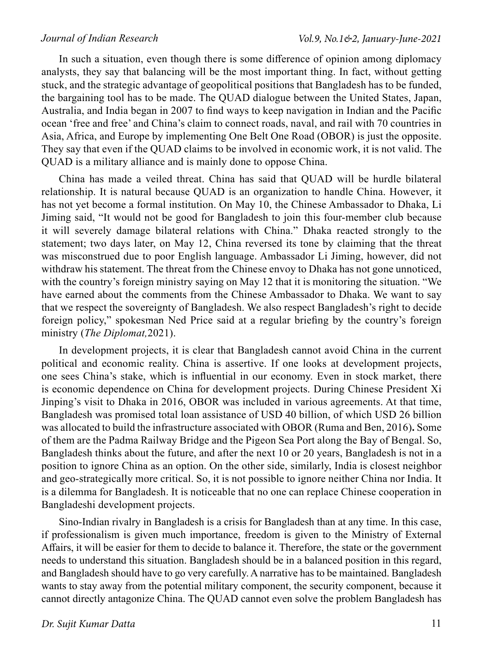In such a situation, even though there is some difference of opinion among diplomacy analysts, they say that balancing will be the most important thing. In fact, without getting stuck, and the strategic advantage of geopolitical positions that Bangladesh has to be funded, the bargaining tool has to be made. The QUAD dialogue between the United States, Japan, Australia, and India began in 2007 to find ways to keep navigation in Indian and the Pacific ocean 'free and free' and China's claim to connect roads, naval, and rail with 70 countries in Asia, Africa, and Europe by implementing One Belt One Road (OBOR) is just the opposite. They say that even if the QUAD claims to be involved in economic work, it is not valid. The QUAD is a military alliance and is mainly done to oppose China.

China has made a veiled threat. China has said that QUAD will be hurdle bilateral relationship. It is natural because QUAD is an organization to handle China. However, it has not yet become a formal institution. On May 10, the Chinese Ambassador to Dhaka, Li Jiming said, "It would not be good for Bangladesh to join this four-member club because it will severely damage bilateral relations with China." Dhaka reacted strongly to the statement; two days later, on May 12, China reversed its tone by claiming that the threat was misconstrued due to poor English language. Ambassador Li Jiming, however, did not withdraw his statement. The threat from the Chinese envoy to Dhaka has not gone unnoticed, with the country's foreign ministry saying on May 12 that it is monitoring the situation. "We have earned about the comments from the Chinese Ambassador to Dhaka. We want to say that we respect the sovereignty of Bangladesh. We also respect Bangladesh's right to decide foreign policy," spokesman Ned Price said at a regular briefing by the country's foreign ministry (*The Diplomat,*2021).

In development projects, it is clear that Bangladesh cannot avoid China in the current political and economic reality. China is assertive. If one looks at development projects, one sees China's stake, which is influential in our economy. Even in stock market, there is economic dependence on China for development projects. During Chinese President Xi Jinping's visit to Dhaka in 2016, OBOR was included in various agreements. At that time, Bangladesh was promised total loan assistance of USD 40 billion, of which USD 26 billion was allocated to build the infrastructure associated with OBOR (Ruma and Ben, 2016)**.** Some of them are the Padma Railway Bridge and the Pigeon Sea Port along the Bay of Bengal. So, Bangladesh thinks about the future, and after the next 10 or 20 years, Bangladesh is not in a position to ignore China as an option. On the other side, similarly, India is closest neighbor and geo-strategically more critical. So, it is not possible to ignore neither China nor India. It is a dilemma for Bangladesh. It is noticeable that no one can replace Chinese cooperation in Bangladeshi development projects.

Sino-Indian rivalry in Bangladesh is a crisis for Bangladesh than at any time. In this case, if professionalism is given much importance, freedom is given to the Ministry of External Affairs, it will be easier for them to decide to balance it. Therefore, the state or the government needs to understand this situation. Bangladesh should be in a balanced position in this regard, and Bangladesh should have to go very carefully. A narrative has to be maintained. Bangladesh wants to stay away from the potential military component, the security component, because it cannot directly antagonize China. The QUAD cannot even solve the problem Bangladesh has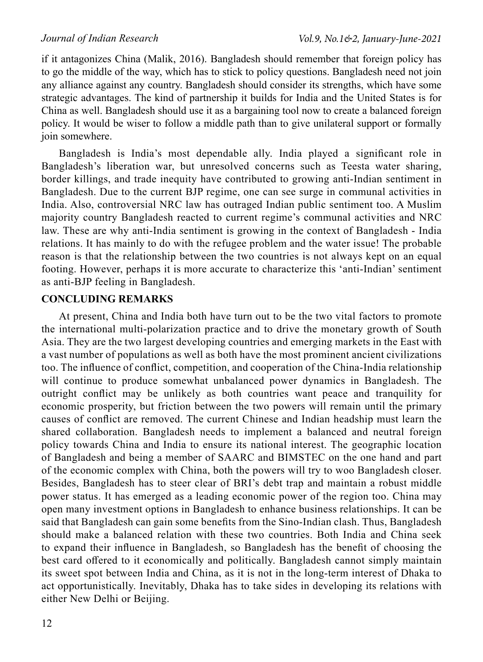if it antagonizes China (Malik, 2016). Bangladesh should remember that foreign policy has to go the middle of the way, which has to stick to policy questions. Bangladesh need not join any alliance against any country. Bangladesh should consider its strengths, which have some strategic advantages. The kind of partnership it builds for India and the United States is for China as well. Bangladesh should use it as a bargaining tool now to create a balanced foreign policy. It would be wiser to follow a middle path than to give unilateral support or formally join somewhere.

Bangladesh is India's most dependable ally. India played a significant role in Bangladesh's liberation war, but unresolved concerns such as Teesta water sharing, border killings, and trade inequity have contributed to growing anti-Indian sentiment in Bangladesh. Due to the current BJP regime, one can see surge in communal activities in India. Also, controversial NRC law has outraged Indian public sentiment too. A Muslim majority country Bangladesh reacted to current regime's communal activities and NRC law. These are why anti-India sentiment is growing in the context of Bangladesh - India relations. It has mainly to do with the refugee problem and the water issue! The probable reason is that the relationship between the two countries is not always kept on an equal footing. However, perhaps it is more accurate to characterize this 'anti-Indian' sentiment as anti-BJP feeling in Bangladesh.

## **CONCLUDING REMARKS**

At present, China and India both have turn out to be the two vital factors to promote the international multi-polarization practice and to drive the monetary growth of South Asia. They are the two largest developing countries and emerging markets in the East with a vast number of populations as well as both have the most prominent ancient civilizations too. The influence of conflict, competition, and cooperation of the China-India relationship will continue to produce somewhat unbalanced power dynamics in Bangladesh. The outright conflict may be unlikely as both countries want peace and tranquility for economic prosperity, but friction between the two powers will remain until the primary causes of conflict are removed. The current Chinese and Indian headship must learn the shared collaboration. Bangladesh needs to implement a balanced and neutral foreign policy towards China and India to ensure its national interest. The geographic location of Bangladesh and being a member of SAARC and BIMSTEC on the one hand and part of the economic complex with China, both the powers will try to woo Bangladesh closer. Besides, Bangladesh has to steer clear of BRI's debt trap and maintain a robust middle power status. It has emerged as a leading economic power of the region too. China may open many investment options in Bangladesh to enhance business relationships. It can be said that Bangladesh can gain some benefits from the Sino-Indian clash. Thus, Bangladesh should make a balanced relation with these two countries. Both India and China seek to expand their influence in Bangladesh, so Bangladesh has the benefit of choosing the best card offered to it economically and politically. Bangladesh cannot simply maintain its sweet spot between India and China, as it is not in the long-term interest of Dhaka to act opportunistically. Inevitably, Dhaka has to take sides in developing its relations with either New Delhi or Beijing.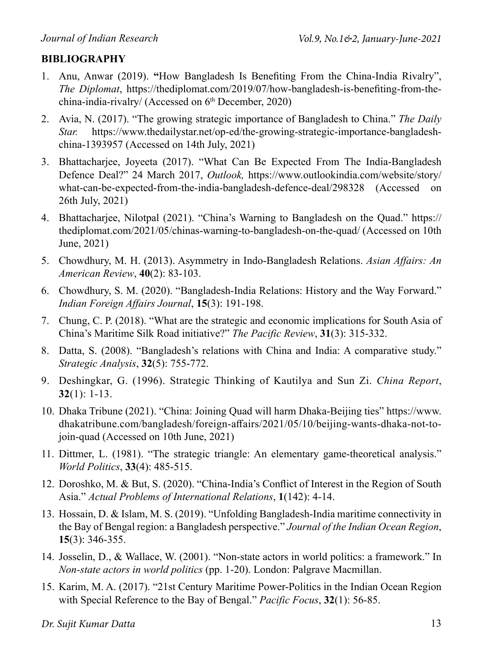## **BIBLIOGRAPHY**

- 1. Anu, Anwar (2019). **"**How Bangladesh Is Benefiting From the China-India Rivalry", *The Diplomat*, https://thediplomat.com/2019/07/how-bangladesh-is-benefiting-from-thechina-india-rivalry/ (Accessed on 6th December, 2020)
- 2. Avia, N. (2017). "The growing strategic importance of Bangladesh to China." *The Daily Star.* https://www.thedailystar.net/op-ed/the-growing-strategic-importance-bangladeshchina-1393957 (Accessed on 14th July, 2021)
- 3. Bhattacharjee, Joyeeta (2017). "What Can Be Expected From The India-Bangladesh Defence Deal?" 24 March 2017, *Outlook,* https://www.outlookindia.com/website/story/ what-can-be-expected-from-the-india-bangladesh-defence-deal/298328 (Accessed on 26th July, 2021)
- 4. Bhattacharjee, Nilotpal (2021). "China's Warning to Bangladesh on the Quad." https:// thediplomat.com/2021/05/chinas-warning-to-bangladesh-on-the-quad/ (Accessed on 10th June, 2021)
- 5. Chowdhury, M. H. (2013). Asymmetry in Indo-Bangladesh Relations. *Asian Affairs: An American Review*, **40**(2): 83-103.
- 6. Chowdhury, S. M. (2020). "Bangladesh-India Relations: History and the Way Forward." *Indian Foreign Affairs Journal*, **15**(3): 191-198.
- 7. Chung, C. P. (2018). "What are the strategic and economic implications for South Asia of China's Maritime Silk Road initiative?" *The Pacific Review*, **31**(3): 315-332.
- 8. Datta, S. (2008). "Bangladesh's relations with China and India: A comparative study." *Strategic Analysis*, **32**(5): 755-772.
- 9. Deshingkar, G. (1996). Strategic Thinking of Kautilya and Sun Zi. *China Report*, **32**(1): 1-13.
- 10. Dhaka Tribune (2021). "China: Joining Quad will harm Dhaka-Beijing ties" https://www. dhakatribune.com/bangladesh/foreign-affairs/2021/05/10/beijing-wants-dhaka-not-tojoin-quad (Accessed on 10th June, 2021)
- 11. Dittmer, L. (1981). "The strategic triangle: An elementary game-theoretical analysis." *World Politics*, **33**(4): 485-515.
- 12. Doroshko, M. & But, S. (2020). "China-India's Conflict of Interest in the Region of South Asia." *Actual Problems of International Relations*, **1**(142): 4-14.
- 13. Hossain, D. & Islam, M. S. (2019). "Unfolding Bangladesh-India maritime connectivity in the Bay of Bengal region: a Bangladesh perspective." *Journal of the Indian Ocean Region*, **15**(3): 346-355.
- 14. Josselin, D., & Wallace, W. (2001). "Non-state actors in world politics: a framework." In *Non-state actors in world politics* (pp. 1-20). London: Palgrave Macmillan.
- 15. Karim, M. A. (2017). "21st Century Maritime Power-Politics in the Indian Ocean Region with Special Reference to the Bay of Bengal." *Pacific Focus*, **32**(1): 56-85.